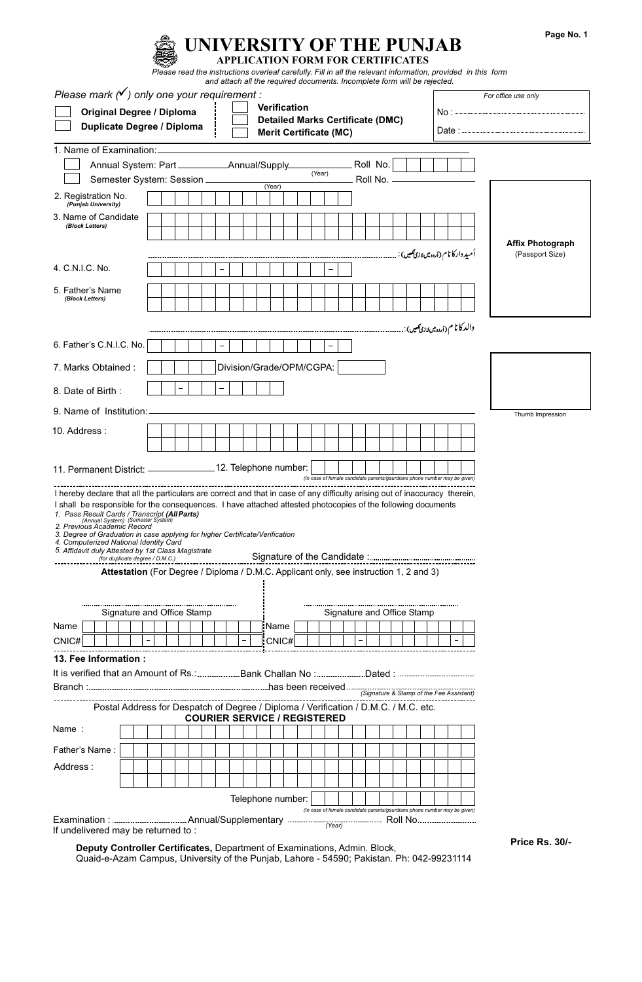|                                                                                                                                                                                                                                                                                                                                                                                                                                                                                                                                                                                     | Please read the instructions overleaf carefully. Fill in all the relevant information, provided in this form |  | UNIVERSITY OF THE PUNJAB<br><b>APPLICATION FORM FOR CERTIFICATES</b><br>and attach all the required documents. Incomplete form will be rejected. |        |                                                                                                 |        |                                                                           |            |  |  |                                                                              |  |                                            |     | Page No. |
|-------------------------------------------------------------------------------------------------------------------------------------------------------------------------------------------------------------------------------------------------------------------------------------------------------------------------------------------------------------------------------------------------------------------------------------------------------------------------------------------------------------------------------------------------------------------------------------|--------------------------------------------------------------------------------------------------------------|--|--------------------------------------------------------------------------------------------------------------------------------------------------|--------|-------------------------------------------------------------------------------------------------|--------|---------------------------------------------------------------------------|------------|--|--|------------------------------------------------------------------------------|--|--------------------------------------------|-----|----------|
| Please mark $(\checkmark)$ only one your requirement :<br><b>Original Degree / Diploma</b><br><b>Duplicate Degree / Diploma</b>                                                                                                                                                                                                                                                                                                                                                                                                                                                     |                                                                                                              |  |                                                                                                                                                  |        | <b>Verification</b><br><b>Detailed Marks Certificate (DMC)</b><br><b>Merit Certificate (MC)</b> |        |                                                                           |            |  |  |                                                                              |  | For office use only                        |     |          |
| 1. Name of Examination:                                                                                                                                                                                                                                                                                                                                                                                                                                                                                                                                                             |                                                                                                              |  |                                                                                                                                                  |        |                                                                                                 |        |                                                                           |            |  |  |                                                                              |  |                                            |     |          |
|                                                                                                                                                                                                                                                                                                                                                                                                                                                                                                                                                                                     |                                                                                                              |  |                                                                                                                                                  |        |                                                                                                 | (Year) |                                                                           | Roll No.   |  |  |                                                                              |  |                                            |     |          |
| Semester System: Session                                                                                                                                                                                                                                                                                                                                                                                                                                                                                                                                                            |                                                                                                              |  |                                                                                                                                                  | (Year) |                                                                                                 |        |                                                                           | Roll No. - |  |  |                                                                              |  |                                            |     |          |
| 2. Registration No.<br>(Punjab University)                                                                                                                                                                                                                                                                                                                                                                                                                                                                                                                                          |                                                                                                              |  |                                                                                                                                                  |        |                                                                                                 |        |                                                                           |            |  |  |                                                                              |  |                                            |     |          |
| 3. Name of Candidate                                                                                                                                                                                                                                                                                                                                                                                                                                                                                                                                                                |                                                                                                              |  |                                                                                                                                                  |        |                                                                                                 |        |                                                                           |            |  |  |                                                                              |  |                                            |     |          |
| (Block Letters)                                                                                                                                                                                                                                                                                                                                                                                                                                                                                                                                                                     |                                                                                                              |  |                                                                                                                                                  |        |                                                                                                 |        |                                                                           |            |  |  |                                                                              |  |                                            |     |          |
|                                                                                                                                                                                                                                                                                                                                                                                                                                                                                                                                                                                     |                                                                                                              |  |                                                                                                                                                  |        |                                                                                                 |        |                                                                           |            |  |  | أميد داركا نام (اردوميں لاز <b>ی ت</b> ھیں) :                                |  | <b>Affix Photograph</b><br>(Passport Size) |     |          |
| 4. C.N.I.C. No.                                                                                                                                                                                                                                                                                                                                                                                                                                                                                                                                                                     |                                                                                                              |  |                                                                                                                                                  |        |                                                                                                 |        |                                                                           |            |  |  |                                                                              |  |                                            |     |          |
| 5. Father's Name                                                                                                                                                                                                                                                                                                                                                                                                                                                                                                                                                                    |                                                                                                              |  |                                                                                                                                                  |        |                                                                                                 |        |                                                                           |            |  |  |                                                                              |  |                                            |     |          |
| (Block Letters)                                                                                                                                                                                                                                                                                                                                                                                                                                                                                                                                                                     |                                                                                                              |  |                                                                                                                                                  |        |                                                                                                 |        |                                                                           |            |  |  |                                                                              |  |                                            |     |          |
|                                                                                                                                                                                                                                                                                                                                                                                                                                                                                                                                                                                     |                                                                                                              |  |                                                                                                                                                  |        |                                                                                                 |        |                                                                           |            |  |  |                                                                              |  |                                            |     |          |
|                                                                                                                                                                                                                                                                                                                                                                                                                                                                                                                                                                                     |                                                                                                              |  |                                                                                                                                                  |        |                                                                                                 |        |                                                                           |            |  |  | والد کا نا م <sub>ا</sub> ( <sub>أردومیں لازم<b>ی</b>سی) : <sub></sub></sub> |  |                                            |     |          |
| 6. Father's C.N.I.C. No.                                                                                                                                                                                                                                                                                                                                                                                                                                                                                                                                                            |                                                                                                              |  |                                                                                                                                                  |        |                                                                                                 |        |                                                                           |            |  |  |                                                                              |  |                                            |     |          |
| 7. Marks Obtained:                                                                                                                                                                                                                                                                                                                                                                                                                                                                                                                                                                  |                                                                                                              |  | Division/Grade/OPM/CGPA:                                                                                                                         |        |                                                                                                 |        |                                                                           |            |  |  |                                                                              |  |                                            |     |          |
| 8. Date of Birth:                                                                                                                                                                                                                                                                                                                                                                                                                                                                                                                                                                   |                                                                                                              |  |                                                                                                                                                  |        |                                                                                                 |        |                                                                           |            |  |  |                                                                              |  |                                            |     |          |
| 9. Name of Institution:                                                                                                                                                                                                                                                                                                                                                                                                                                                                                                                                                             |                                                                                                              |  |                                                                                                                                                  |        |                                                                                                 |        |                                                                           |            |  |  |                                                                              |  | Thumb Impression                           |     |          |
| 10. Address:                                                                                                                                                                                                                                                                                                                                                                                                                                                                                                                                                                        |                                                                                                              |  |                                                                                                                                                  |        |                                                                                                 |        |                                                                           |            |  |  |                                                                              |  |                                            |     |          |
|                                                                                                                                                                                                                                                                                                                                                                                                                                                                                                                                                                                     |                                                                                                              |  |                                                                                                                                                  |        |                                                                                                 |        |                                                                           |            |  |  |                                                                              |  |                                            |     |          |
| 11. Permanent District: _____________________ 12. Telephone number:                                                                                                                                                                                                                                                                                                                                                                                                                                                                                                                 |                                                                                                              |  |                                                                                                                                                  |        |                                                                                                 |        |                                                                           |            |  |  |                                                                              |  |                                            |     |          |
|                                                                                                                                                                                                                                                                                                                                                                                                                                                                                                                                                                                     |                                                                                                              |  |                                                                                                                                                  |        |                                                                                                 |        | (In case of female candidate parents/gaurdians phone number may be given) |            |  |  |                                                                              |  |                                            |     |          |
| I hereby declare that all the particulars are correct and that in case of any difficulty arising out of inaccuracy therein,<br>I shall be responsible for the consequences. I have attached attested photocopies of the following documents<br>1. Pass Result Cards / Transcript (All Parts)<br>(Annual System) (Semester System)<br>2. Previous Academic Record<br>3. Degree of Graduation in case applying for higher Certificate/Verification<br>4. Computerized National Identity Card<br>5. Affidavit duly Attested by 1st Class Magistrate<br>(for duplicate degree / D.M.C.) |                                                                                                              |  |                                                                                                                                                  |        |                                                                                                 |        |                                                                           |            |  |  |                                                                              |  |                                            |     |          |
| Attestation (For Degree / Diploma / D.M.C. Applicant only, see instruction 1, 2 and 3)                                                                                                                                                                                                                                                                                                                                                                                                                                                                                              |                                                                                                              |  |                                                                                                                                                  |        |                                                                                                 |        |                                                                           |            |  |  |                                                                              |  |                                            |     |          |
|                                                                                                                                                                                                                                                                                                                                                                                                                                                                                                                                                                                     |                                                                                                              |  |                                                                                                                                                  |        |                                                                                                 |        |                                                                           |            |  |  |                                                                              |  |                                            |     |          |
| Signature and Office Stamp                                                                                                                                                                                                                                                                                                                                                                                                                                                                                                                                                          |                                                                                                              |  |                                                                                                                                                  |        |                                                                                                 |        | Signature and Office Stamp                                                |            |  |  |                                                                              |  |                                            |     |          |
| Name                                                                                                                                                                                                                                                                                                                                                                                                                                                                                                                                                                                |                                                                                                              |  |                                                                                                                                                  | Name   |                                                                                                 |        |                                                                           |            |  |  |                                                                              |  |                                            |     |          |
| CNIC#                                                                                                                                                                                                                                                                                                                                                                                                                                                                                                                                                                               |                                                                                                              |  |                                                                                                                                                  | CNIC#  |                                                                                                 |        |                                                                           |            |  |  |                                                                              |  |                                            |     |          |
| 13. Fee Information :                                                                                                                                                                                                                                                                                                                                                                                                                                                                                                                                                               |                                                                                                              |  |                                                                                                                                                  |        |                                                                                                 |        |                                                                           |            |  |  |                                                                              |  |                                            |     |          |
|                                                                                                                                                                                                                                                                                                                                                                                                                                                                                                                                                                                     |                                                                                                              |  |                                                                                                                                                  |        |                                                                                                 |        |                                                                           |            |  |  |                                                                              |  |                                            |     |          |
|                                                                                                                                                                                                                                                                                                                                                                                                                                                                                                                                                                                     |                                                                                                              |  |                                                                                                                                                  |        |                                                                                                 |        |                                                                           |            |  |  | (Signature & Stamp of the Fee Assistant)                                     |  |                                            |     |          |
| Postal Address for Despatch of Degree / Diploma / Verification / D.M.C. / M.C. etc.                                                                                                                                                                                                                                                                                                                                                                                                                                                                                                 |                                                                                                              |  |                                                                                                                                                  |        |                                                                                                 |        |                                                                           |            |  |  |                                                                              |  |                                            |     |          |
| Name:                                                                                                                                                                                                                                                                                                                                                                                                                                                                                                                                                                               |                                                                                                              |  | <b>COURIER SERVICE / REGISTERED</b>                                                                                                              |        |                                                                                                 |        |                                                                           |            |  |  |                                                                              |  |                                            |     |          |
|                                                                                                                                                                                                                                                                                                                                                                                                                                                                                                                                                                                     |                                                                                                              |  |                                                                                                                                                  |        |                                                                                                 |        |                                                                           |            |  |  |                                                                              |  |                                            |     |          |
| Father's Name:                                                                                                                                                                                                                                                                                                                                                                                                                                                                                                                                                                      |                                                                                                              |  |                                                                                                                                                  |        |                                                                                                 |        |                                                                           |            |  |  |                                                                              |  |                                            |     |          |
| Address:                                                                                                                                                                                                                                                                                                                                                                                                                                                                                                                                                                            |                                                                                                              |  |                                                                                                                                                  |        |                                                                                                 |        |                                                                           |            |  |  |                                                                              |  |                                            |     |          |
|                                                                                                                                                                                                                                                                                                                                                                                                                                                                                                                                                                                     |                                                                                                              |  |                                                                                                                                                  |        |                                                                                                 |        |                                                                           |            |  |  |                                                                              |  |                                            |     |          |
|                                                                                                                                                                                                                                                                                                                                                                                                                                                                                                                                                                                     |                                                                                                              |  |                                                                                                                                                  |        | Telephone number:                                                                               |        | (In case of female candidate parents/gaurdians phone number may be given) |            |  |  |                                                                              |  |                                            |     |          |
| If undelivered may be returned to:                                                                                                                                                                                                                                                                                                                                                                                                                                                                                                                                                  |                                                                                                              |  |                                                                                                                                                  |        |                                                                                                 |        | (Year)                                                                    |            |  |  |                                                                              |  | D-                                         | וחפ |          |

**Deputy Controller Certificates,** Department of Examinations, Admin. Block, Quaid-e-Azam Campus, University of the Punjab, Lahore - 54590; Pakistan. Ph: 042-99231114 **Price Rs. 30/-**

**Page No. 1**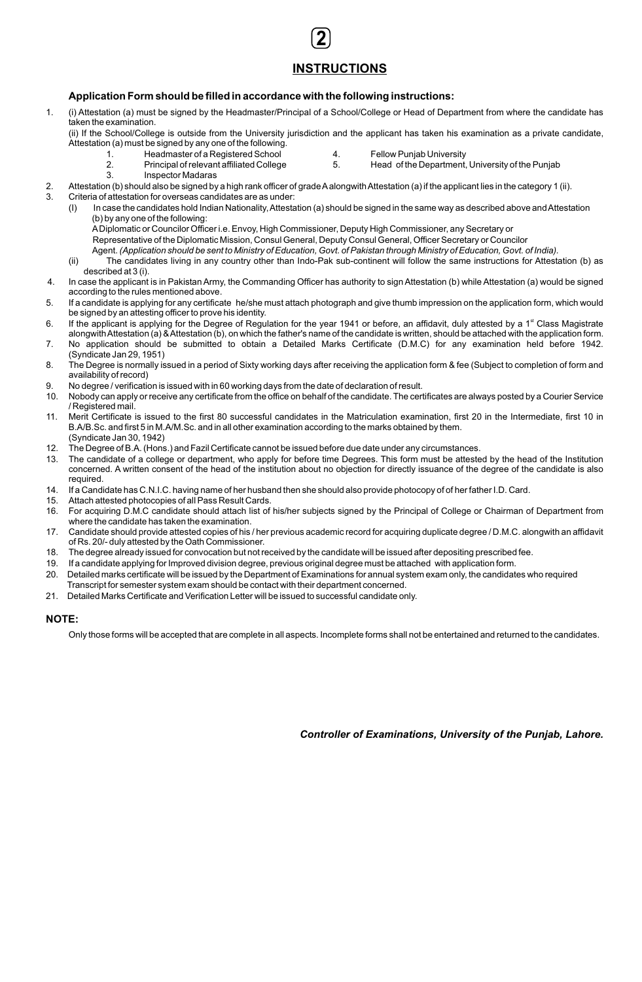## **INSTRUCTIONS**

**2**

### **Application Form should be filled in accordance with the following instructions:**

1. (i) Attestation (a) must be signed by the Headmaster/Principal of a School/College or Head of Department from where the candidate has taken the examination.

(ii) If the School/College is outside from the University jurisdiction and the applicant has taken his examination as a private candidate, Attestation (a) must be signed by any one of the following.

- 
- 1. Headmaster of a Registered School and the Headmaster of a Registered School and the Tellow Punjab University<br>1. The Principal of relevant affiliated College and the S. Head of the Department. Head of the Department, University of the Punjab
- 3. Inspector Madaras
- 2. Attestation (b) should also be signed by a high rank officer of grade A alongwith Attestation (a) if the applicant lies in the category 1 (ii).<br>Criteria of attestation for overseas candidates are as under:
	- 3. Criteria of attestation for overseas candidates are as under:
		- (I) In case the candidates hold Indian Nationality, Attestation (a) should be signed in the same way as described above and Attestation (b) by any one of the following:

A Diplomatic or Councilor Officer i.e. Envoy, High Commissioner, Deputy High Commissioner, any Secretary or

- Representative of the Diplomatic Mission, Consul General, Deputy Consul General, Officer Secretary or Councilor
- Agent. *(Application should be sent to Ministry of Education, Govt. of Pakistan through Ministry of Education, Govt. of India).*
- (ii) The candidates living in any country other than Indo-Pak sub-continent will follow the same instructions for Attestation (b) as described at 3 (i).
- 4. In case the applicant is in Pakistan Army, the Commanding Officer has authority to sign Attestation (b) while Attestation (a) would be signed according to the rules mentioned above.
- 5. If a candidate is applying for any certificate he/she must attach photograph and give thumb impression on the application form, which would be signed by an attesting officer to prove his identity.
- 6. If the applicant is applying for the Degree of Regulation for the year 1941 or before, an affidavit, duly attested by a 1<sup>st</sup> Class Magistrate alongwith Attestation (a) & Attestation (b), on which the father's name of the candidate is written, should be attached with the application form. 7. No application should be submitted to obtain a Detailed Marks Certificate (D.M.C) for any examination held before 1942.
- (Syndicate Jan 29, 1951)
- 8. The Degree is normally issued in a period of Sixty working days after receiving the application form & fee (Subject to completion of form and availability of record)
- 9. No degree / verification is issued with in 60 working days from the date of declaration of result.
- 10. Nobody can apply or receive any certificate from the office on behalf of the candidate. The certificates are always posted by a Courier Service / Registered mail.
- 11. Merit Certificate is issued to the first 80 successful candidates in the Matriculation examination, first 20 in the Intermediate, first 10 in B.A/B.Sc. and first 5 in M.A/M.Sc. and in all other examination according to the marks obtained by them. (Syndicate Jan 30, 1942)
- 12. The Degree of B.A. (Hons.) and Fazil Certificate cannot be issued before due date under any circumstances.
- 13. The candidate of a college or department, who apply for before time Degrees. This form must be attested by the head of the Institution concerned. A written consent of the head of the institution about no objection for directly issuance of the degree of the candidate is also required.
- 14. If a Candidate has C.N.I.C. having name of her husband then she should also provide photocopy of of her father I.D. Card.
- 15. Attach attested photocopies of all Pass Result Cards.
- 16. For acquiring D.M.C candidate should attach list of his/her subjects signed by the Principal of College or Chairman of Department from where the candidate has taken the examination.
- 17. Candidate should provide attested copies of his / her previous academic record for acquiring duplicate degree / D.M.C. alongwith an affidavit of Rs. 20/- duly attested by the Oath Commissioner.
- 18. The degree already issued for convocation but not received by the candidate will be issued after depositing prescribed fee.
- 19. If a candidate applying for Improved division degree, previous original degree must be attached with application form.
- 20. Detailed marks certificate will be issued by the Department of Examinations for annual system exam only, the candidates who required Transcript for semester system exam should be contact with their department concerned.
- 21. Detailed Marks Certificate and Verification Letter will be issued to successful candidate only.

#### **NOTE:**

Only those forms will be accepted that are complete in all aspects. Incomplete forms shall not be entertained and returned to the candidates.

*Controller of Examinations, University of the Punjab, Lahore.*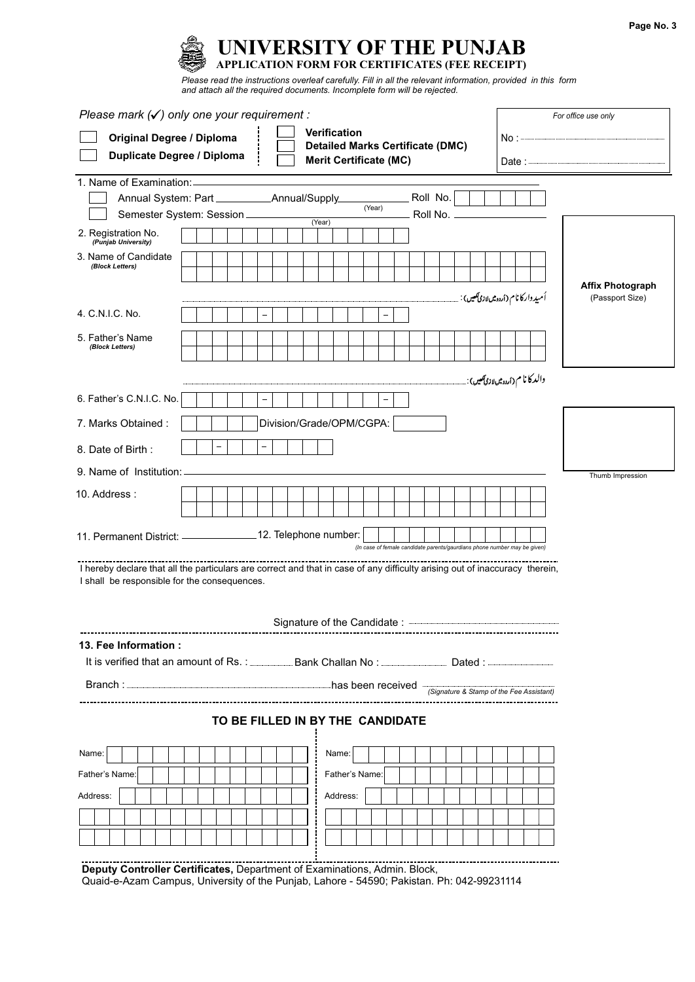| Page No. 3 |  |  |
|------------|--|--|
|------------|--|--|



*and attach all the required documents. Incomplete form will be rejected.*

| Please mark $(\checkmark)$ only one your requirement:                                                                                                                       |  |  |                                  |  |  |                          |  |                                                                           |  |  |                        |  | For office use only |  |                                               |  |                                            |  |
|-----------------------------------------------------------------------------------------------------------------------------------------------------------------------------|--|--|----------------------------------|--|--|--------------------------|--|---------------------------------------------------------------------------|--|--|------------------------|--|---------------------|--|-----------------------------------------------|--|--------------------------------------------|--|
| <b>Verification</b><br><b>Original Degree / Diploma</b><br><b>Detailed Marks Certificate (DMC)</b><br><b>Duplicate Degree / Diploma</b><br><b>Merit Certificate (MC)</b>    |  |  |                                  |  |  |                          |  |                                                                           |  |  |                        |  |                     |  |                                               |  |                                            |  |
| 1. Name of Examination:                                                                                                                                                     |  |  |                                  |  |  |                          |  |                                                                           |  |  |                        |  |                     |  |                                               |  |                                            |  |
| Semester System: Session                                                                                                                                                    |  |  |                                  |  |  |                          |  | (Year)                                                                    |  |  | Roll No.<br>Roll No. - |  |                     |  |                                               |  |                                            |  |
| 2. Registration No.<br>(Punjab University)                                                                                                                                  |  |  |                                  |  |  | (Year)                   |  |                                                                           |  |  |                        |  |                     |  |                                               |  |                                            |  |
| 3. Name of Candidate<br>(Block Letters)                                                                                                                                     |  |  |                                  |  |  |                          |  |                                                                           |  |  |                        |  |                     |  |                                               |  |                                            |  |
|                                                                                                                                                                             |  |  |                                  |  |  |                          |  |                                                                           |  |  |                        |  |                     |  | اُمیدوار کا نام (اردومیںلاز <b>ی کھی</b> ں) : |  | <b>Affix Photograph</b><br>(Passport Size) |  |
| 4. C.N.I.C. No.                                                                                                                                                             |  |  |                                  |  |  |                          |  |                                                                           |  |  |                        |  |                     |  |                                               |  |                                            |  |
| 5. Father's Name<br>(Block Letters)                                                                                                                                         |  |  |                                  |  |  |                          |  |                                                                           |  |  |                        |  |                     |  |                                               |  |                                            |  |
|                                                                                                                                                                             |  |  |                                  |  |  |                          |  |                                                                           |  |  |                        |  |                     |  | والد کا نا م( <sub>اُردوشللازیآک</sub> س):    |  |                                            |  |
| 6. Father's C.N.I.C. No.                                                                                                                                                    |  |  |                                  |  |  |                          |  |                                                                           |  |  |                        |  |                     |  |                                               |  |                                            |  |
| 7. Marks Obtained:                                                                                                                                                          |  |  |                                  |  |  | Division/Grade/OPM/CGPA: |  |                                                                           |  |  |                        |  |                     |  |                                               |  |                                            |  |
| 8. Date of Birth:                                                                                                                                                           |  |  |                                  |  |  |                          |  |                                                                           |  |  |                        |  |                     |  |                                               |  |                                            |  |
| 9. Name of Institution:                                                                                                                                                     |  |  |                                  |  |  |                          |  |                                                                           |  |  |                        |  |                     |  |                                               |  | Thumb Impression                           |  |
| 10. Address:                                                                                                                                                                |  |  |                                  |  |  |                          |  |                                                                           |  |  |                        |  |                     |  |                                               |  |                                            |  |
| 11. Permanent District: __________________ 12. Telephone number:                                                                                                            |  |  |                                  |  |  |                          |  | (In case of female candidate parents/gaurdians phone number may be given) |  |  |                        |  |                     |  |                                               |  |                                            |  |
| I hereby declare that all the particulars are correct and that in case of any difficulty arising out of inaccuracy therein,<br>I shall be responsible for the consequences. |  |  |                                  |  |  |                          |  |                                                                           |  |  |                        |  |                     |  |                                               |  |                                            |  |
| 13. Fee Information:                                                                                                                                                        |  |  |                                  |  |  |                          |  |                                                                           |  |  |                        |  |                     |  |                                               |  |                                            |  |
| It is verified that an amount of Rs.: Bank Challan No: Dated: Dated:                                                                                                        |  |  |                                  |  |  |                          |  |                                                                           |  |  |                        |  |                     |  |                                               |  |                                            |  |
|                                                                                                                                                                             |  |  |                                  |  |  |                          |  |                                                                           |  |  |                        |  |                     |  |                                               |  |                                            |  |
|                                                                                                                                                                             |  |  | TO BE FILLED IN BY THE CANDIDATE |  |  |                          |  |                                                                           |  |  |                        |  |                     |  |                                               |  |                                            |  |
| Name:                                                                                                                                                                       |  |  |                                  |  |  | Name:                    |  |                                                                           |  |  |                        |  |                     |  |                                               |  |                                            |  |
| Father's Name:                                                                                                                                                              |  |  |                                  |  |  |                          |  | Father's Name:                                                            |  |  |                        |  |                     |  |                                               |  |                                            |  |
| Address:                                                                                                                                                                    |  |  |                                  |  |  | Address:                 |  |                                                                           |  |  |                        |  |                     |  |                                               |  |                                            |  |
|                                                                                                                                                                             |  |  |                                  |  |  |                          |  |                                                                           |  |  |                        |  |                     |  |                                               |  |                                            |  |
|                                                                                                                                                                             |  |  |                                  |  |  |                          |  |                                                                           |  |  |                        |  |                     |  |                                               |  |                                            |  |

**Deputy Controller Certificates,** Department of Examinations, Admin. Block, Quaid-e-Azam Campus, University of the Punjab, Lahore - 54590; Pakistan. Ph: 042-99231114